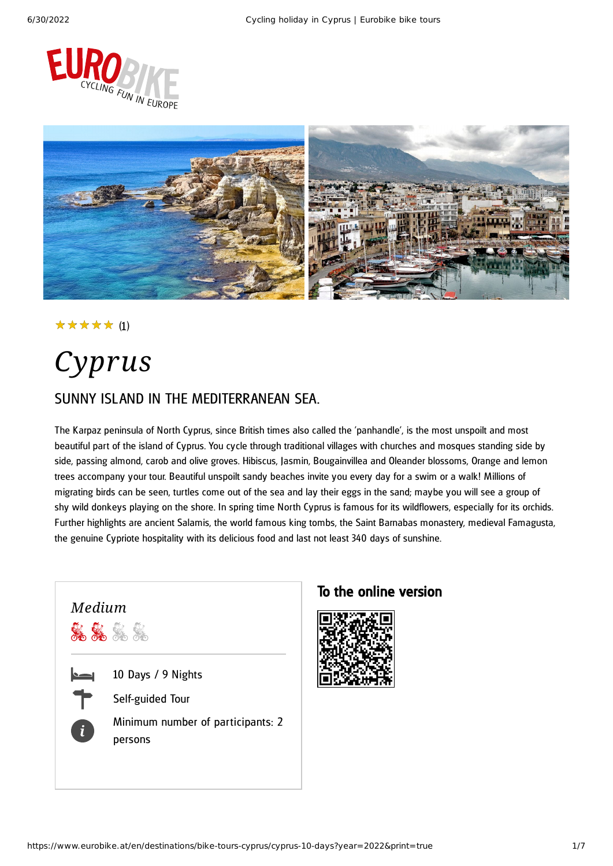



### (1) ★★★★★

# *Cyprus*

### SUNNY ISLAND IN THE MEDITERRANEAN SEA.

The Karpaz peninsula of North Cyprus, since British times also called the 'panhandle', is the most unspoilt and most beautiful part of the island of Cyprus. You cycle through traditional villages with churches and mosques standing side by side, passing almond, carob and olive groves. Hibiscus, Jasmin, Bougainvillea and Oleander blossoms, Orange and lemon trees accompany your tour. Beautiful unspoilt sandy beaches invite you every day for a swim or a walk! Millions of migrating birds can be seen, turtles come out of the sea and lay their eggs in the sand; maybe you will see a group of shy wild donkeys playing on the shore. In spring time North Cyprus is famous for its wildflowers, especially for its orchids. Further highlights are ancient Salamis, the world famous king tombs, the Saint Barnabas monastery, medieval Famagusta, the genuine Cypriote hospitality with its delicious food and last not least 340 days of sunshine.



### To the online version

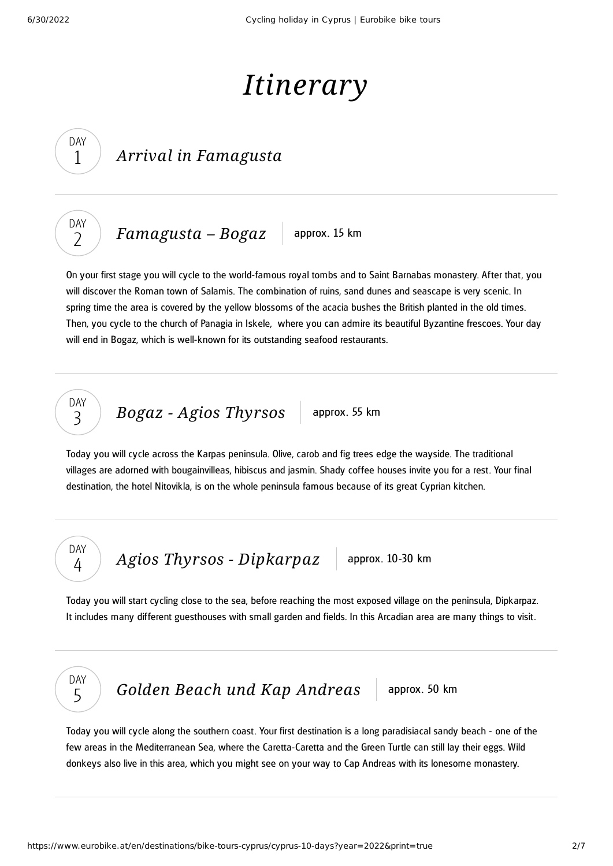# *Itinerary*

### *Arrival in Famagusta*



DAY 1

*[Famagusta](#page-1-0)* –  $Bogaz$  approx. 15 km

<span id="page-1-0"></span>On your first stage you will cycle to the world-famous royal tombs and to Saint Barnabas monastery. After that, you will discover the Roman town of Salamis. The combination of ruins, sand dunes and seascape is very scenic. In spring time the area is covered by the yellow blossoms of the acacia bushes the British planted in the old times. Then, you cycle to the church of Panagia in Iskele, where you can admire its beautiful Byzantine frescoes. Your day will end in Bogaz, which is well-known for its outstanding seafood restaurants.



*Bogaz* - *Agios [Thyrsos](#page-1-1)* approx. 55 km

<span id="page-1-1"></span>Today you will cycle across the Karpas peninsula. Olive, carob and fig trees edge the wayside. The traditional villages are adorned with bougainvilleas, hibiscus and jasmin. Shady coffee houses invite you for a rest. Your final destination, the hotel Nitovikla, is on the whole peninsula famous because of its great Cyprian kitchen.

DAY 4

Agios Thyrsos - [Dipkarpaz](#page-1-2) | approx. 10-30 km

<span id="page-1-2"></span>Today you will start cycling close to the sea, before reaching the most exposed village on the peninsula, Dipkarpaz. It includes many different guesthouses with small garden and fields. In this Arcadian area are many things to visit.



*Golden Beach und Kap [Andreas](#page-1-3)* approx. 50 km

<span id="page-1-3"></span>Today you will cycle along the southern coast. Your first destination is a long paradisiacal sandy beach - one of the few areas in the Mediterranean Sea, where the Caretta-Caretta and the Green Turtle can still lay their eggs. Wild donkeys also live in this area, which you might see on your way to Cap Andreas with its lonesome monastery.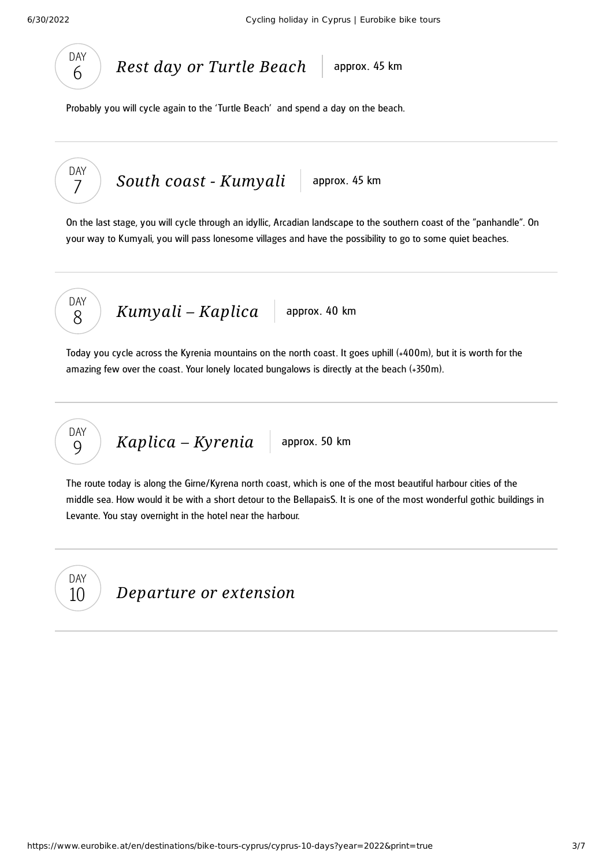

*Rest day or Turtle [Beach](#page-2-0)* approx. 45 km

<span id="page-2-0"></span>Probably you will cycle again to the 'Turtle Beach' and spend a day on the beach.

<span id="page-2-1"></span>



<span id="page-2-2"></span>Today you cycle across the Kyrenia mountains on the north coast. It goes uphill (+400m), but it is worth for the amazing few over the coast. Your lonely located bungalows is directly at the beach (+350m).



<span id="page-2-3"></span>The route today is along the Girne/Kyrena north coast, which is one of the most beautiful harbour cities of the middle sea. How would it be with a short detour to the BellapaisS. It is one of the most wonderful gothic buildings in Levante. You stay overnight in the hotel near the harbour.

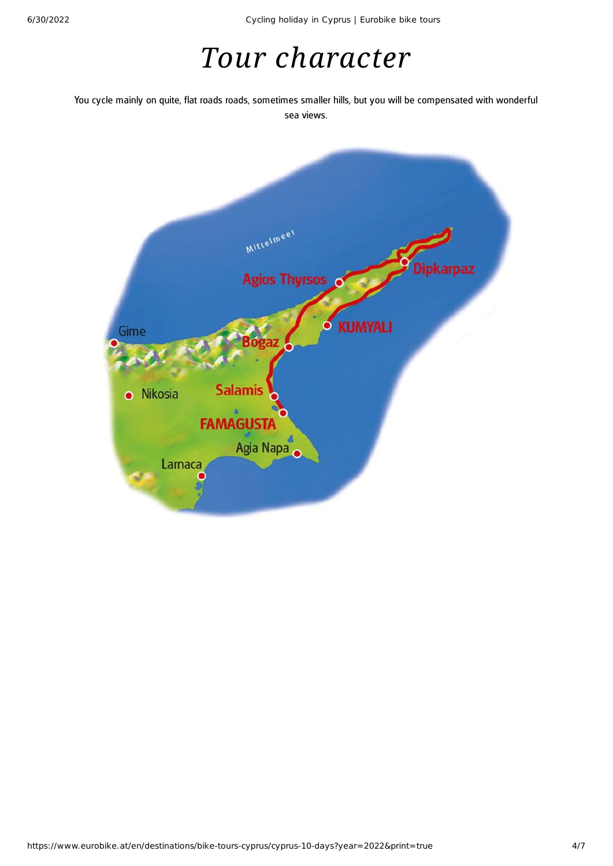# *Tour character*

You cycle mainly on quite, flat roads roads, sometimes smaller hills, but you will be compensated with wonderful sea views.

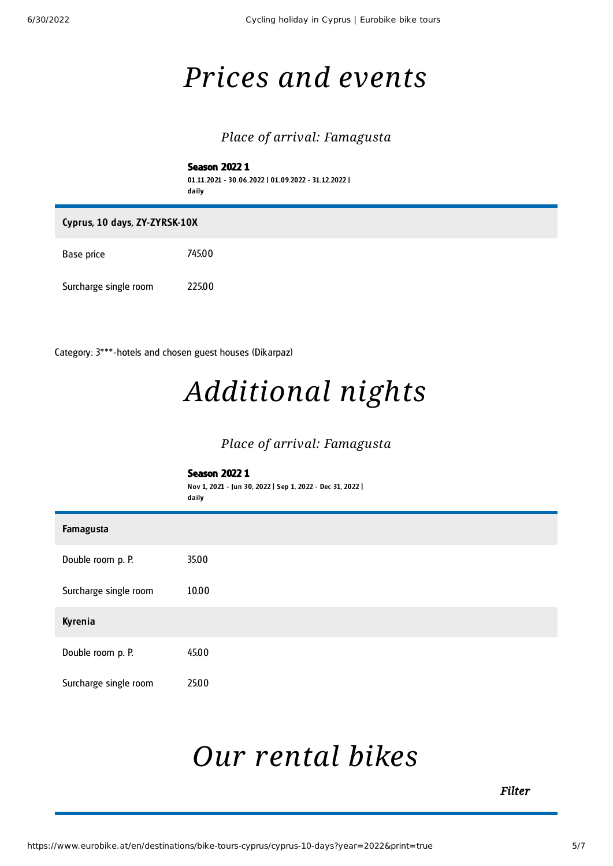## *Prices and events*

### *Place of arrival: Famagusta*

Season 2022 1 01.11.2021 - 30.06.2022 | 01.09.2022 - 31.12.2022 | da ily

| Cyprus, 10 days, ZY-ZYRSK-10X |        |
|-------------------------------|--------|
| Base price                    | 745.00 |
| Surcharge single room         | 225.00 |

Category: 3\*\*\*-hotels and chosen guest houses (Dikarpaz)

# *Additional nights*

### *Place of arrival: Famagusta*

|                       | <b>Season 2022 1</b><br>Nov 1, 2021 - Jun 30, 2022   Sep 1, 2022 - Dec 31, 2022  <br>daily |
|-----------------------|--------------------------------------------------------------------------------------------|
| Famagusta             |                                                                                            |
| Double room p. P.     | 35.00                                                                                      |
| Surcharge single room | 10.00                                                                                      |
| <b>Kyrenia</b>        |                                                                                            |
| Double room p. P.     | 45.00                                                                                      |
| Surcharge single room | 25.00                                                                                      |

# <span id="page-4-0"></span>*Our [rental](#page-4-0) bikes*

*Filter*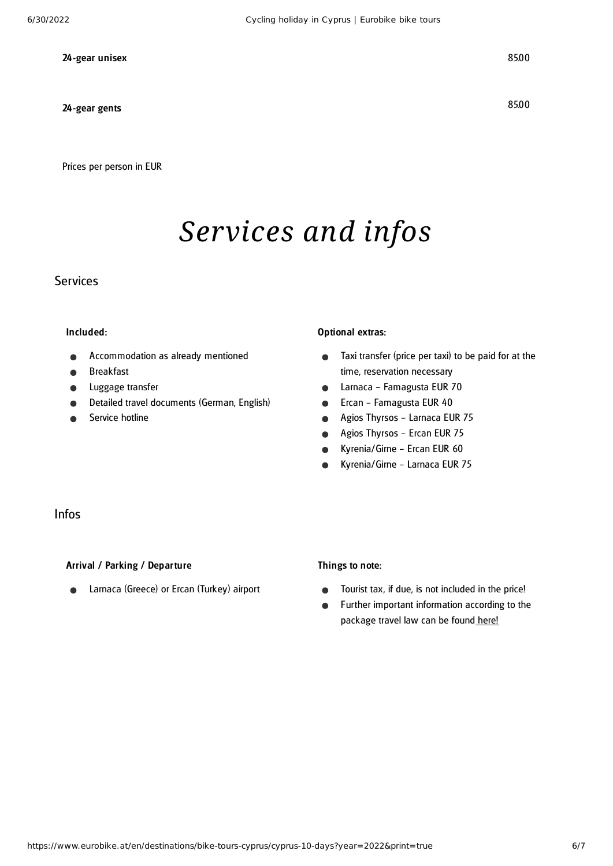#### 24-gear unisex

#### 24-gear gents

Prices per person in EUR

# *Services and infos*

#### Services

#### Included:

- Accommodation as already mentioned
- Breakfast
- Luggage transfer
- Detailed travel documents (German, English)
- Service hotline

#### Optional extras:

- Taxi transfer (price per taxi) to be paid for at the  $\bullet$ time, reservation necessary
- Larnaca Famagusta EUR 70  $\bullet$
- Ercan Famagusta EUR 40  $\bullet$
- Agios Thyrsos Larnaca EUR 75  $\bullet$
- Agios Thyrsos Ercan EUR 75  $\bullet$
- Kyrenia/Girne Ercan EUR 60  $\bullet$
- Kyrenia/Girne Larnaca EUR 75

### Infos

#### Arrival / Parking / Departure

Larnaca (Greece) or Ercan (Turkey) airport  $\bullet$ 

#### Things to note:

- Tourist tax, if due, is not included in the price!  $\bullet$
- Further important information according to the  $\bullet$ package travel law can be found [here](https://www.eurobike.at/en/travel-information/before-the-tour/pci)!

85.00